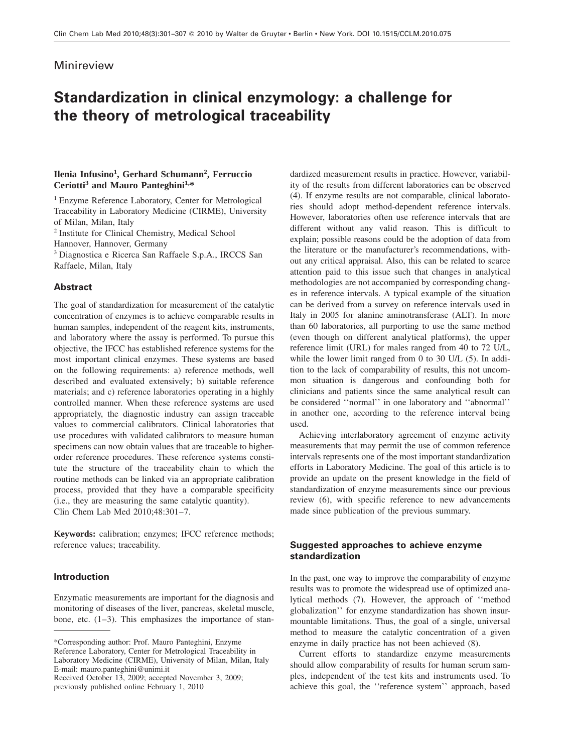# Minireview

# **Standardization in clinical enzymology: a challenge for the theory of metrological traceability**

## **Ilenia Infusino1 , Gerhard Schumann<sup>2</sup> , Ferruccio Ceriotti3 and Mauro Panteghini1,\***

<sup>1</sup> Enzyme Reference Laboratory, Center for Metrological Traceability in Laboratory Medicine (CIRME), University of Milan, Milan, Italy <sup>2</sup> Institute for Clinical Chemistry, Medical School

Hannover, Hannover, Germany

<sup>3</sup> Diagnostica e Ricerca San Raffaele S.p.A., IRCCS San Raffaele, Milan, Italy

## **Abstract**

The goal of standardization for measurement of the catalytic concentration of enzymes is to achieve comparable results in human samples, independent of the reagent kits, instruments, and laboratory where the assay is performed. To pursue this objective, the IFCC has established reference systems for the most important clinical enzymes. These systems are based on the following requirements: a) reference methods, well described and evaluated extensively; b) suitable reference materials; and c) reference laboratories operating in a highly controlled manner. When these reference systems are used appropriately, the diagnostic industry can assign traceable values to commercial calibrators. Clinical laboratories that use procedures with validated calibrators to measure human specimens can now obtain values that are traceable to higherorder reference procedures. These reference systems constitute the structure of the traceability chain to which the routine methods can be linked via an appropriate calibration process, provided that they have a comparable specificity (i.e., they are measuring the same catalytic quantity). Clin Chem Lab Med 2010;48:301–7.

**Keywords:** calibration; enzymes; IFCC reference methods; reference values; traceability.

## **Introduction**

Enzymatic measurements are important for the diagnosis and monitoring of diseases of the liver, pancreas, skeletal muscle, bone, etc.  $(1-3)$ . This emphasizes the importance of stan-

Received October 13, 2009; accepted November 3, 2009; previously published online February 1, 2010

dardized measurement results in practice. However, variability of the results from different laboratories can be observed (4). If enzyme results are not comparable, clinical laboratories should adopt method-dependent reference intervals. However, laboratories often use reference intervals that are different without any valid reason. This is difficult to explain; possible reasons could be the adoption of data from the literature or the manufacturer's recommendations, without any critical appraisal. Also, this can be related to scarce attention paid to this issue such that changes in analytical methodologies are not accompanied by corresponding changes in reference intervals. A typical example of the situation can be derived from a survey on reference intervals used in Italy in 2005 for alanine aminotransferase (ALT). In more than 60 laboratories, all purporting to use the same method (even though on different analytical platforms), the upper reference limit (URL) for males ranged from 40 to 72 U/L, while the lower limit ranged from 0 to 30 U/L (5). In addition to the lack of comparability of results, this not uncommon situation is dangerous and confounding both for clinicians and patients since the same analytical result can be considered ''normal'' in one laboratory and ''abnormal'' in another one, according to the reference interval being used.

Achieving interlaboratory agreement of enzyme activity measurements that may permit the use of common reference intervals represents one of the most important standardization efforts in Laboratory Medicine. The goal of this article is to provide an update on the present knowledge in the field of standardization of enzyme measurements since our previous review (6), with specific reference to new advancements made since publication of the previous summary.

## **Suggested approaches to achieve enzyme standardization**

In the past, one way to improve the comparability of enzyme results was to promote the widespread use of optimized analytical methods (7). However, the approach of ''method globalization'' for enzyme standardization has shown insurmountable limitations. Thus, the goal of a single, universal method to measure the catalytic concentration of a given enzyme in daily practice has not been achieved (8).

Current efforts to standardize enzyme measurements should allow comparability of results for human serum samples, independent of the test kits and instruments used. To achieve this goal, the ''reference system'' approach, based

<sup>\*</sup>Corresponding author: Prof. Mauro Panteghini, Enzyme Reference Laboratory, Center for Metrological Traceability in Laboratory Medicine (CIRME), University of Milan, Milan, Italy E-mail: mauro.panteghini@unimi.it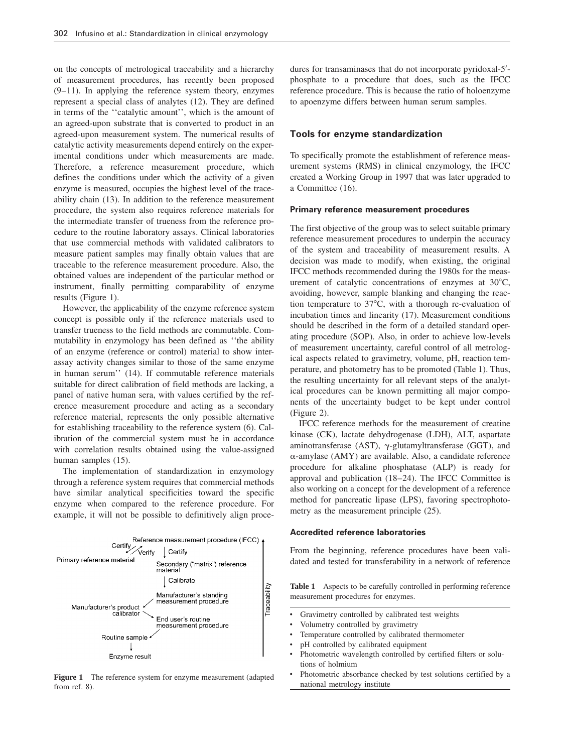on the concepts of metrological traceability and a hierarchy of measurement procedures, has recently been proposed (9–11). In applying the reference system theory, enzymes represent a special class of analytes (12). They are defined in terms of the ''catalytic amount'', which is the amount of an agreed-upon substrate that is converted to product in an agreed-upon measurement system. The numerical results of catalytic activity measurements depend entirely on the experimental conditions under which measurements are made. Therefore, a reference measurement procedure, which defines the conditions under which the activity of a given enzyme is measured, occupies the highest level of the traceability chain (13). In addition to the reference measurement procedure, the system also requires reference materials for the intermediate transfer of trueness from the reference procedure to the routine laboratory assays. Clinical laboratories that use commercial methods with validated calibrators to measure patient samples may finally obtain values that are traceable to the reference measurement procedure. Also, the obtained values are independent of the particular method or instrument, finally permitting comparability of enzyme results (Figure 1).

However, the applicability of the enzyme reference system concept is possible only if the reference materials used to transfer trueness to the field methods are commutable. Commutability in enzymology has been defined as ''the ability of an enzyme (reference or control) material to show interassay activity changes similar to those of the same enzyme in human serum'' (14). If commutable reference materials suitable for direct calibration of field methods are lacking, a panel of native human sera, with values certified by the reference measurement procedure and acting as a secondary reference material, represents the only possible alternative for establishing traceability to the reference system (6). Calibration of the commercial system must be in accordance with correlation results obtained using the value-assigned human samples (15).

The implementation of standardization in enzymology through a reference system requires that commercial methods have similar analytical specificities toward the specific enzyme when compared to the reference procedure. For example, it will not be possible to definitively align proce-



**Figure 1** The reference system for enzyme measurement (adapted from ref. 8).

dures for transaminases that do not incorporate pyridoxal-5'phosphate to a procedure that does, such as the IFCC reference procedure. This is because the ratio of holoenzyme to apoenzyme differs between human serum samples.

## **Tools for enzyme standardization**

To specifically promote the establishment of reference measurement systems (RMS) in clinical enzymology, the IFCC created a Working Group in 1997 that was later upgraded to a Committee (16).

#### **Primary reference measurement procedures**

The first objective of the group was to select suitable primary reference measurement procedures to underpin the accuracy of the system and traceability of measurement results. A decision was made to modify, when existing, the original IFCC methods recommended during the 1980s for the measurement of catalytic concentrations of enzymes at  $30^{\circ}$ C, avoiding, however, sample blanking and changing the reaction temperature to  $37^{\circ}$ C, with a thorough re-evaluation of incubation times and linearity (17). Measurement conditions should be described in the form of a detailed standard operating procedure (SOP). Also, in order to achieve low-levels of measurement uncertainty, careful control of all metrological aspects related to gravimetry, volume, pH, reaction temperature, and photometry has to be promoted (Table 1). Thus, the resulting uncertainty for all relevant steps of the analytical procedures can be known permitting all major components of the uncertainty budget to be kept under control (Figure 2).

IFCC reference methods for the measurement of creatine kinase (CK), lactate dehydrogenase (LDH), ALT, aspartate aminotransferase (AST),  $\gamma$ -glutamyltransferase (GGT), and  $\alpha$ -amylase (AMY) are available. Also, a candidate reference procedure for alkaline phosphatase (ALP) is ready for approval and publication (18–24). The IFCC Committee is also working on a concept for the development of a reference method for pancreatic lipase (LPS), favoring spectrophotometry as the measurement principle (25).

#### **Accredited reference laboratories**

From the beginning, reference procedures have been validated and tested for transferability in a network of reference

**Table 1** Aspects to be carefully controlled in performing reference measurement procedures for enzymes.

- Gravimetry controlled by calibrated test weights
- Volumetry controlled by gravimetry
- Temperature controlled by calibrated thermometer
- pH controlled by calibrated equipment
- Photometric wavelength controlled by certified filters or solutions of holmium
- Photometric absorbance checked by test solutions certified by a national metrology institute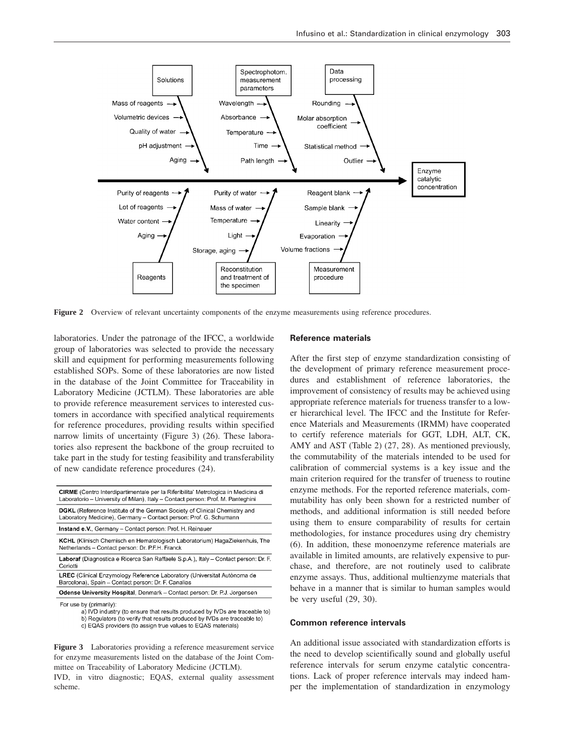

**Figure 2** Overview of relevant uncertainty components of the enzyme measurements using reference procedures.

laboratories. Under the patronage of the IFCC, a worldwide group of laboratories was selected to provide the necessary skill and equipment for performing measurements following established SOPs. Some of these laboratories are now listed in the database of the Joint Committee for Traceability in Laboratory Medicine (JCTLM). These laboratories are able to provide reference measurement services to interested customers in accordance with specified analytical requirements for reference procedures, providing results within specified narrow limits of uncertainty (Figure 3) (26). These laboratories also represent the backbone of the group recruited to take part in the study for testing feasibility and transferability of new candidate reference procedures (24).

| <b>CIRME</b> (Centro Interdipartimentale per la Riferibilita' Metrologica in Medicina di<br>Laboratorio - University of Milan), Italy - Contact person: Prof. M. Panteghini       |  |  |  |  |  |  |
|-----------------------------------------------------------------------------------------------------------------------------------------------------------------------------------|--|--|--|--|--|--|
| <b>DGKL</b> (Reference Institute of the German Society of Clinical Chemistry and<br>Laboratory Medicine), Germany - Contact person: Prof. G. Schumann                             |  |  |  |  |  |  |
| Instand e.V., Germany - Contact person: Prof. H. Reinauer                                                                                                                         |  |  |  |  |  |  |
| <b>KCHL</b> (Klinisch Chemisch en Hematologisch Laboratorium) HagaZiekenhuis, The<br>Netherlands - Contact person: Dr. P.F.H. Franck                                              |  |  |  |  |  |  |
| Laboraf (Diagnostica e Ricerca San Raffaele S.p.A.), Italy - Contact person: Dr. F.<br>Ceriotti                                                                                   |  |  |  |  |  |  |
| LREC (Clinical Enzymology Reference Laboratory (Universitat Autonoma de<br>Barcelona), Spain - Contact person: Dr. F. Canalias                                                    |  |  |  |  |  |  |
| Odense University Hospital, Denmark - Contact person: Dr. P.J. Jorgensen                                                                                                          |  |  |  |  |  |  |
| For use by (primarily):<br>a) IVD industry (to ensure that results produced by IVDs are traceable to)<br>b) Regulators (to verify that results produced by IVDs are traceable to) |  |  |  |  |  |  |

c) EQAS providers (to assign true values to EQAS materials)

**Figure 3** Laboratories providing a reference measurement service for enzyme measurements listed on the database of the Joint Committee on Traceability of Laboratory Medicine (JCTLM).

IVD, in vitro diagnostic; EQAS, external quality assessment scheme.

#### **Reference materials**

After the first step of enzyme standardization consisting of the development of primary reference measurement procedures and establishment of reference laboratories, the improvement of consistency of results may be achieved using appropriate reference materials for trueness transfer to a lower hierarchical level. The IFCC and the Institute for Reference Materials and Measurements (IRMM) have cooperated to certify reference materials for GGT, LDH, ALT, CK, AMY and AST (Table 2) (27, 28). As mentioned previously, the commutability of the materials intended to be used for calibration of commercial systems is a key issue and the main criterion required for the transfer of trueness to routine enzyme methods. For the reported reference materials, commutability has only been shown for a restricted number of methods, and additional information is still needed before using them to ensure comparability of results for certain methodologies, for instance procedures using dry chemistry (6). In addition, these monoenzyme reference materials are available in limited amounts, are relatively expensive to purchase, and therefore, are not routinely used to calibrate enzyme assays. Thus, additional multienzyme materials that behave in a manner that is similar to human samples would be very useful (29, 30).

### **Common reference intervals**

An additional issue associated with standardization efforts is the need to develop scientifically sound and globally useful reference intervals for serum enzyme catalytic concentrations. Lack of proper reference intervals may indeed hamper the implementation of standardization in enzymology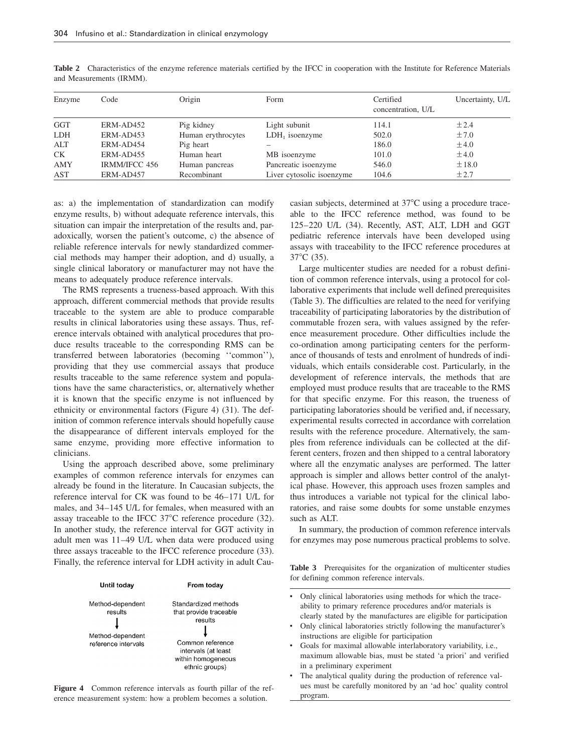| Enzyme     | Code          | Origin             | Form                      | Certified<br>concentration, U/L | Uncertainty, U/L |
|------------|---------------|--------------------|---------------------------|---------------------------------|------------------|
| <b>GGT</b> | ERM-AD452     | Pig kidney         | Light subunit             | 114.1                           | ±2.4             |
| <b>LDH</b> | ERM-AD453     | Human erythrocytes | $LDH1$ isoenzyme          | 502.0                           | ±7.0             |
| ALT        | ERM-AD454     | Pig heart          |                           | 186.0                           | $\pm 4.0$        |
| CK.        | ERM-AD455     | Human heart        | MB isoenzyme              | 101.0                           | $\pm 4.0$        |
| AMY        | IRMM/IFCC 456 | Human pancreas     | Pancreatic isoenzyme      | 546.0                           | ±18.0            |
| AST        | ERM-AD457     | Recombinant        | Liver cytosolic isoenzyme | 104.6                           | ±2.7             |

Table 2 Characteristics of the enzyme reference materials certified by the IFCC in cooperation with the Institute for Reference Materials and Measurements (IRMM).

as: a) the implementation of standardization can modify enzyme results, b) without adequate reference intervals, this situation can impair the interpretation of the results and, paradoxically, worsen the patient's outcome, c) the absence of reliable reference intervals for newly standardized commercial methods may hamper their adoption, and d) usually, a single clinical laboratory or manufacturer may not have the means to adequately produce reference intervals.

The RMS represents a trueness-based approach. With this approach, different commercial methods that provide results traceable to the system are able to produce comparable results in clinical laboratories using these assays. Thus, reference intervals obtained with analytical procedures that produce results traceable to the corresponding RMS can be transferred between laboratories (becoming ''common''), providing that they use commercial assays that produce results traceable to the same reference system and populations have the same characteristics, or, alternatively whether it is known that the specific enzyme is not influenced by ethnicity or environmental factors (Figure 4) (31). The definition of common reference intervals should hopefully cause the disappearance of different intervals employed for the same enzyme, providing more effective information to clinicians.

Using the approach described above, some preliminary examples of common reference intervals for enzymes can already be found in the literature. In Caucasian subjects, the reference interval for CK was found to be 46–171 U/L for males, and 34–145 U/L for females, when measured with an assay traceable to the IFCC  $37^{\circ}$ C reference procedure (32). In another study, the reference interval for GGT activity in adult men was 11–49 U/L when data were produced using three assays traceable to the IFCC reference procedure (33). Finally, the reference interval for LDH activity in adult Cau-



**Figure 4** Common reference intervals as fourth pillar of the reference measurement system: how a problem becomes a solution.

casian subjects, determined at 37°C using a procedure traceable to the IFCC reference method, was found to be 125–220 U/L (34). Recently, AST, ALT, LDH and GGT pediatric reference intervals have been developed using assays with traceability to the IFCC reference procedures at  $37^{\circ}$ C (35).

Large multicenter studies are needed for a robust definition of common reference intervals, using a protocol for collaborative experiments that include well defined prerequisites (Table 3). The difficulties are related to the need for verifying traceability of participating laboratories by the distribution of commutable frozen sera, with values assigned by the reference measurement procedure. Other difficulties include the co-ordination among participating centers for the performance of thousands of tests and enrolment of hundreds of individuals, which entails considerable cost. Particularly, in the development of reference intervals, the methods that are employed must produce results that are traceable to the RMS for that specific enzyme. For this reason, the trueness of participating laboratories should be verified and, if necessary, experimental results corrected in accordance with correlation results with the reference procedure. Alternatively, the samples from reference individuals can be collected at the different centers, frozen and then shipped to a central laboratory where all the enzymatic analyses are performed. The latter approach is simpler and allows better control of the analytical phase. However, this approach uses frozen samples and thus introduces a variable not typical for the clinical laboratories, and raise some doubts for some unstable enzymes such as ALT.

In summary, the production of common reference intervals for enzymes may pose numerous practical problems to solve.

**Table 3** Prerequisites for the organization of multicenter studies for defining common reference intervals.

• Only clinical laboratories using methods for which the traceability to primary reference procedures and/or materials is clearly stated by the manufactures are eligible for participation • Only clinical laboratories strictly following the manufacturer's instructions are eligible for participation • Goals for maximal allowable interlaboratory variability, i.e., maximum allowable bias, must be stated 'a priori' and verified in a preliminary experiment The analytical quality during the production of reference values must be carefully monitored by an 'ad hoc' quality control

program.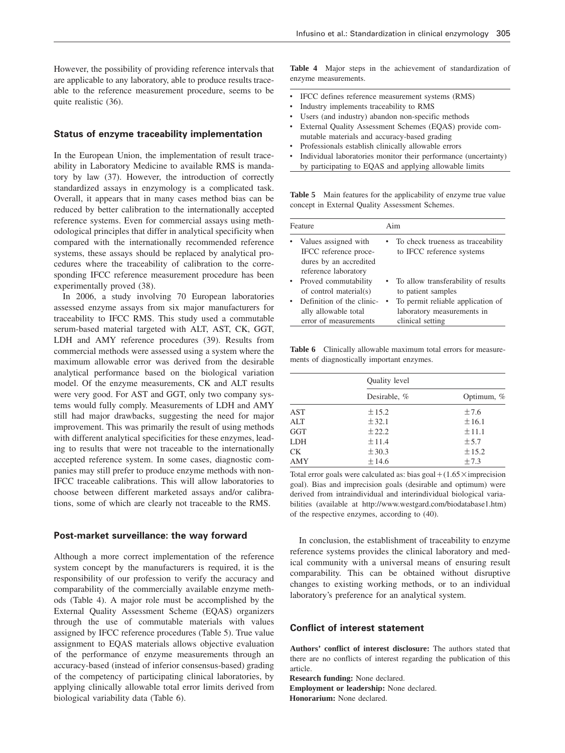However, the possibility of providing reference intervals that are applicable to any laboratory, able to produce results traceable to the reference measurement procedure, seems to be quite realistic (36).

### **Status of enzyme traceability implementation**

In the European Union, the implementation of result traceability in Laboratory Medicine to available RMS is mandatory by law (37). However, the introduction of correctly standardized assays in enzymology is a complicated task. Overall, it appears that in many cases method bias can be reduced by better calibration to the internationally accepted reference systems. Even for commercial assays using methodological principles that differ in analytical specificity when compared with the internationally recommended reference systems, these assays should be replaced by analytical procedures where the traceability of calibration to the corresponding IFCC reference measurement procedure has been experimentally proved (38).

In 2006, a study involving 70 European laboratories assessed enzyme assays from six major manufacturers for traceability to IFCC RMS. This study used a commutable serum-based material targeted with ALT, AST, CK, GGT, LDH and AMY reference procedures (39). Results from commercial methods were assessed using a system where the maximum allowable error was derived from the desirable analytical performance based on the biological variation model. Of the enzyme measurements, CK and ALT results were very good. For AST and GGT, only two company systems would fully comply. Measurements of LDH and AMY still had major drawbacks, suggesting the need for major improvement. This was primarily the result of using methods with different analytical specificities for these enzymes, leading to results that were not traceable to the internationally accepted reference system. In some cases, diagnostic companies may still prefer to produce enzyme methods with non-IFCC traceable calibrations. This will allow laboratories to choose between different marketed assays and/or calibrations, some of which are clearly not traceable to the RMS.

#### **Post-market surveillance: the way forward**

Although a more correct implementation of the reference system concept by the manufacturers is required, it is the responsibility of our profession to verify the accuracy and comparability of the commercially available enzyme methods (Table 4). A major role must be accomplished by the External Quality Assessment Scheme (EQAS) organizers through the use of commutable materials with values assigned by IFCC reference procedures (Table 5). True value assignment to EQAS materials allows objective evaluation of the performance of enzyme measurements through an accuracy-based (instead of inferior consensus-based) grading of the competency of participating clinical laboratories, by applying clinically allowable total error limits derived from biological variability data (Table 6).

**Table 4** Major steps in the achievement of standardization of enzyme measurements.

- IFCC defines reference measurement systems (RMS)
- Industry implements traceability to RMS
- Users (and industry) abandon non-specific methods
- External Quality Assessment Schemes (EQAS) provide commutable materials and accuracy-based grading
- Professionals establish clinically allowable errors
- Individual laboratories monitor their performance (uncertainty) by participating to EQAS and applying allowable limits

**Table 5** Main features for the applicability of enzyme true value concept in External Quality Assessment Schemes.

| Feature |                                                                                                 | Aim |                                                                                     |  |
|---------|-------------------------------------------------------------------------------------------------|-----|-------------------------------------------------------------------------------------|--|
|         | Values assigned with<br>IFCC reference proce-<br>dures by an accredited<br>reference laboratory |     | • To check trueness as traceability<br>to IFCC reference systems                    |  |
|         | Proved commutability<br>of control material(s)                                                  |     | • To allow transferability of results<br>to patient samples                         |  |
|         | Definition of the clinic-<br>ally allowable total<br>error of measurements                      |     | To permit reliable application of<br>laboratory measurements in<br>clinical setting |  |

**Table 6** Clinically allowable maximum total errors for measurements of diagnostically important enzymes.

|            | Quality level |            |  |
|------------|---------------|------------|--|
|            | Desirable, %  | Optimum, % |  |
| <b>AST</b> | $\pm 15.2$    | ±7.6       |  |
| ALT        | ± 32.1        | ±16.1      |  |
| <b>GGT</b> | ±22.2         | ±11.1      |  |
| <b>LDH</b> | ±11.4         | ± 5.7      |  |
| <b>CK</b>  | $\pm$ 30.3    | $\pm 15.2$ |  |
| AMY        | ±14.6         | ±7.3       |  |

Total error goals were calculated as: bias goal  $+(1.65\times$  imprecision goal). Bias and imprecision goals (desirable and optimum) were derived from intraindividual and interindividual biological variabilities (available at http://www.westgard.com/biodatabase1.htm) of the respective enzymes, according to (40).

In conclusion, the establishment of traceability to enzyme reference systems provides the clinical laboratory and medical community with a universal means of ensuring result comparability. This can be obtained without disruptive changes to existing working methods, or to an individual laboratory's preference for an analytical system.

## **Conflict of interest statement**

**Authors' conflict of interest disclosure:** The authors stated that there are no conflicts of interest regarding the publication of this article.

**Research funding:** None declared.

**Employment or leadership:** None declared. **Honorarium:** None declared.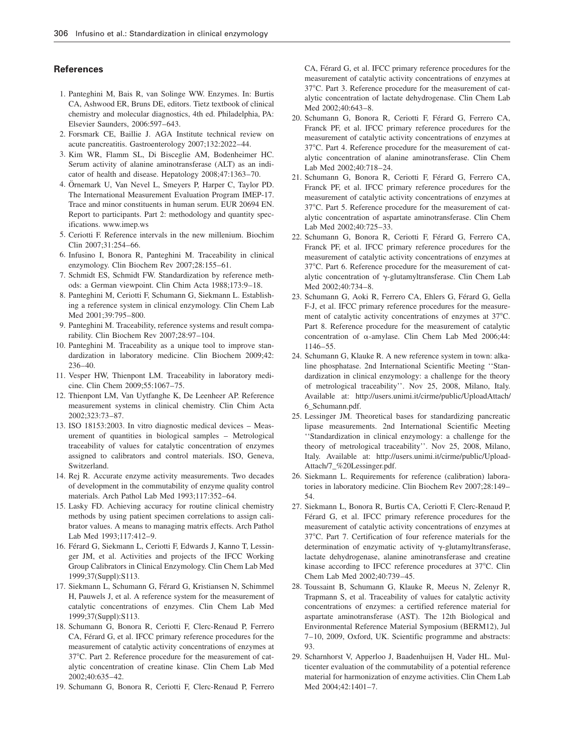#### **References**

- 1. Panteghini M, Bais R, van Solinge WW. Enzymes. In: Burtis CA, Ashwood ER, Bruns DE, editors. Tietz textbook of clinical chemistry and molecular diagnostics, 4th ed. Philadelphia, PA: Elsevier Saunders, 2006:597–643.
- 2. Forsmark CE, Baillie J. AGA Institute technical review on acute pancreatitis. Gastroenterology 2007;132:2022–44.
- 3. Kim WR, Flamm SL, Di Bisceglie AM, Bodenheimer HC. Serum activity of alanine aminotransferase (ALT) as an indicator of health and disease. Hepatology 2008;47:1363–70.
- 4. Örnemark U, Van Nevel L, Smeyers P, Harper C, Taylor PD. The International Measurement Evaluation Program IMEP-17. Trace and minor constituents in human serum. EUR 20694 EN. Report to participants. Part 2: methodology and quantity specifications. www.imep.ws
- 5. Ceriotti F. Reference intervals in the new millenium. Biochim Clin 2007;31:254–66.
- 6. Infusino I, Bonora R, Panteghini M. Traceability in clinical enzymology. Clin Biochem Rev 2007;28:155–61.
- 7. Schmidt ES, Schmidt FW. Standardization by reference methods: a German viewpoint. Clin Chim Acta 1988;173:9–18.
- 8. Panteghini M, Ceriotti F, Schumann G, Siekmann L. Establishing a reference system in clinical enzymology. Clin Chem Lab Med 2001;39:795–800.
- 9. Panteghini M. Traceability, reference systems and result comparability. Clin Biochem Rev 2007;28:97–104.
- 10. Panteghini M. Traceability as a unique tool to improve standardization in laboratory medicine. Clin Biochem 2009;42: 236–40.
- 11. Vesper HW, Thienpont LM. Traceability in laboratory medicine. Clin Chem 2009;55:1067–75.
- 12. Thienpont LM, Van Uytfanghe K, De Leenheer AP. Reference measurement systems in clinical chemistry. Clin Chim Acta 2002;323:73–87.
- 13. ISO 18153:2003. In vitro diagnostic medical devices Measurement of quantities in biological samples – Metrological traceability of values for catalytic concentration of enzymes assigned to calibrators and control materials. ISO, Geneva, Switzerland.
- 14. Rej R. Accurate enzyme activity measurements. Two decades of development in the commutability of enzyme quality control materials. Arch Pathol Lab Med 1993;117:352–64.
- 15. Lasky FD. Achieving accuracy for routine clinical chemistry methods by using patient specimen correlations to assign calibrator values. A means to managing matrix effects. Arch Pathol Lab Med 1993;117:412–9.
- 16. Férard G, Siekmann L, Ceriotti F, Edwards J, Kanno T, Lessinger JM, et al. Activities and projects of the IFCC Working Group Calibrators in Clinical Enzymology. Clin Chem Lab Med 1999;37(Suppl):S113.
- 17. Siekmann L, Schumann G, Férard G, Kristiansen N, Schimmel H, Pauwels J, et al. A reference system for the measurement of catalytic concentrations of enzymes. Clin Chem Lab Med 1999;37(Suppl):S113.
- 18. Schumann G, Bonora R, Ceriotti F, Clerc-Renaud P, Ferrero CA, Férard G, et al. IFCC primary reference procedures for the measurement of catalytic activity concentrations of enzymes at 37°C. Part 2. Reference procedure for the measurement of catalytic concentration of creatine kinase. Clin Chem Lab Med 2002;40:635–42.
- 19. Schumann G, Bonora R, Ceriotti F, Clerc-Renaud P, Ferrero

CA, Férard G, et al. IFCC primary reference procedures for the measurement of catalytic activity concentrations of enzymes at 37°C. Part 3. Reference procedure for the measurement of catalytic concentration of lactate dehydrogenase. Clin Chem Lab Med 2002;40:643–8.

- 20. Schumann G, Bonora R, Ceriotti F, Férard G, Ferrero CA, Franck PF, et al. IFCC primary reference procedures for the measurement of catalytic activity concentrations of enzymes at 37°C. Part 4. Reference procedure for the measurement of catalytic concentration of alanine aminotransferase. Clin Chem Lab Med 2002;40:718–24.
- 21. Schumann G, Bonora R, Ceriotti F, Férard G, Ferrero CA, Franck PF, et al. IFCC primary reference procedures for the measurement of catalytic activity concentrations of enzymes at 37°C. Part 5. Reference procedure for the measurement of catalytic concentration of aspartate aminotransferase. Clin Chem Lab Med 2002;40:725–33.
- 22. Schumann G, Bonora R, Ceriotti F, Férard G, Ferrero CA, Franck PF, et al. IFCC primary reference procedures for the measurement of catalytic activity concentrations of enzymes at 37°C. Part 6. Reference procedure for the measurement of catalytic concentration of  $\gamma$ -glutamyltransferase. Clin Chem Lab Med 2002;40:734–8.
- 23. Schumann G, Aoki R, Ferrero CA, Ehlers G, Férard G, Gella F-J, et al. IFCC primary reference procedures for the measurement of catalytic activity concentrations of enzymes at  $37^{\circ}$ C. Part 8. Reference procedure for the measurement of catalytic concentration of a-amylase. Clin Chem Lab Med 2006;44: 1146–55.
- 24. Schumann G, Klauke R. A new reference system in town: alkaline phosphatase. 2nd International Scientific Meeting ''Standardization in clinical enzymology: a challenge for the theory of metrological traceability''. Nov 25, 2008, Milano, Italy. Available at: http://users.unimi.it/cirme/public/UploadAttach/ 6\_Schumann.pdf.
- 25. Lessinger JM. Theoretical bases for standardizing pancreatic lipase measurements. 2nd International Scientific Meeting ''Standardization in clinical enzymology: a challenge for the theory of metrological traceability''. Nov 25, 2008, Milano, Italy. Available at: http://users.unimi.it/cirme/public/Upload-Attach/7\_%20Lessinger.pdf.
- 26. Siekmann L. Requirements for reference (calibration) laboratories in laboratory medicine. Clin Biochem Rev 2007;28:149– 54.
- 27. Siekmann L, Bonora R, Burtis CA, Ceriotti F, Clerc-Renaud P, Férard G, et al. IFCC primary reference procedures for the measurement of catalytic activity concentrations of enzymes at 378C. Part 7. Certification of four reference materials for the determination of enzymatic activity of  $\gamma$ -glutamyltransferase, lactate dehydrogenase, alanine aminotransferase and creatine kinase according to IFCC reference procedures at 37°C. Clin Chem Lab Med 2002;40:739–45.
- 28. Toussaint B, Schumann G, Klauke R, Meeus N, Zelenyr R, Trapmann S, et al. Traceability of values for catalytic activity concentrations of enzymes: a certified reference material for aspartate aminotransferase (AST). The 12th Biological and Environmental Reference Material Symposium (BERM12), Jul 7–10, 2009, Oxford, UK. Scientific programme and abstracts: 93.
- 29. Scharnhorst V, Apperloo J, Baadenhuijsen H, Vader HL. Multicenter evaluation of the commutability of a potential reference material for harmonization of enzyme activities. Clin Chem Lab Med 2004;42:1401–7.